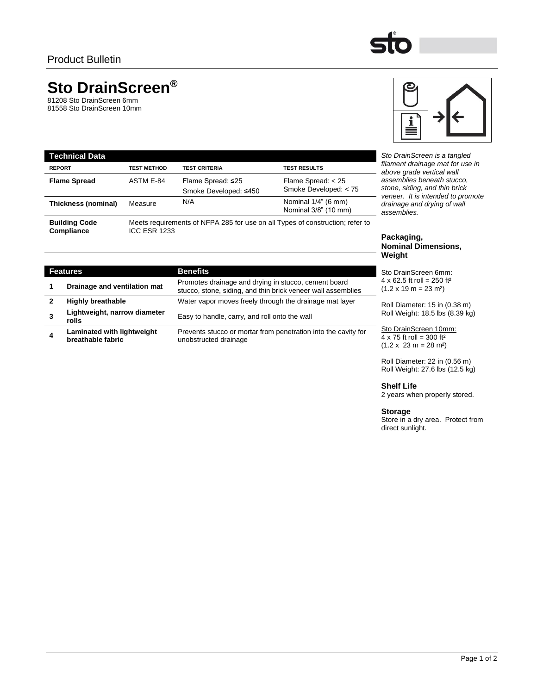

c

≡

# **Sto DrainScreen®**

**Lightweight, narrow diameter** 

**Laminated with lightweight** 

**breathable fabric**

81208 Sto DrainScreen 6mm 81558 Sto DrainScreen 10mm

**3**

**4**

| <b>Technical Data</b>              |                     |                                            |                                                                               |
|------------------------------------|---------------------|--------------------------------------------|-------------------------------------------------------------------------------|
| <b>REPORT</b>                      | <b>TEST METHOD</b>  | <b>TEST CRITERIA</b>                       | <b>TEST RESULTS</b>                                                           |
| <b>Flame Spread</b>                | ASTM E-84           | Flame Spread: ≤25<br>Smoke Developed: ≤450 | Flame Spread: < 25<br>Smoke Developed: < 75                                   |
| Thickness (nominal)                | Measure             | N/A                                        | Nominal $1/4$ " (6 mm)<br>Nominal 3/8" (10 mm)                                |
| <b>Building Code</b><br>Compliance | <b>ICC ESR 1233</b> |                                            | Meets requirements of NFPA 285 for use on all Types of construction; refer to |

**2 Highly breathable** Water vapor moves freely through the drainage mat layer

unobstructed drainage

**Sto DrainScreen is a tangled** *filament drainage mat for use in above grade vertical wall assemblies beneath stucco, stone, siding, and thin brick veneer. It is intended to promote drainage and drying of wall assemblies.*

## **Packaging, Nominal Dimensions, Weight**

Sto DrainScreen 6mm:  $4 \times 62.5$  ft roll = 250 ft<sup>2</sup>  $(1.2 \times 19 \text{ m} = 23 \text{ m}^2)$ 

Roll Diameter: 15 in (0.38 m) Roll Weight: 18.5 lbs (8.39 kg)

Sto DrainScreen 10mm:  $4 \times 75$  ft roll = 300 ft<sup>2</sup>  $(1.2 \times 23 \text{ m} = 28 \text{ m}^2)$ 

Roll Diameter: 22 in (0.56 m) Roll Weight: 27.6 lbs (12.5 kg)

**Shelf Life**

2 years when properly stored.

# **Storage**

Store in a dry area. Protect from direct sunlight.

| <b>Building Code</b><br>Compliance |                              | <b>ICC ESR 1233</b> | Meets requirements of NFPA 285 for use on all Types of construction; refer to                                      |  |  |
|------------------------------------|------------------------------|---------------------|--------------------------------------------------------------------------------------------------------------------|--|--|
|                                    |                              |                     |                                                                                                                    |  |  |
| <b>Features</b>                    |                              |                     | <b>Benefits</b>                                                                                                    |  |  |
| 1                                  | Drainage and ventilation mat |                     | Promotes drainage and drying in stucco, cement board<br>ctures atoms oiding and thin heigh uspectual concentration |  |  |

stucco, stone, siding, and thin brick veneer wall assemblies

Prevents stucco or mortar from penetration into the cavity for

Easy to handle, carry, and roll onto the wall

Page 1 of 2